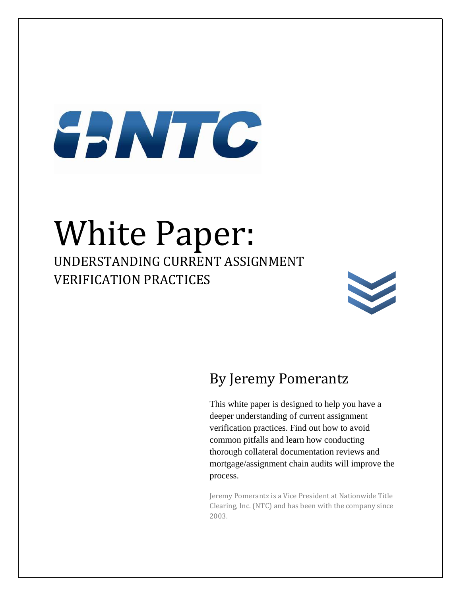# SANTO

# White Paper:

UNDERSTANDING CURRENT ASSIGNMENT VERIFICATION PRACTICES



## By Jeremy Pomerantz

This white paper is designed to help you have a deeper understanding of current assignment verification practices. Find out how to avoid common pitfalls and learn how conducting thorough collateral documentation reviews and mortgage/assignment chain audits will improve the process.

Jeremy Pomerantz is a Vice President at Nationwide Title Clearing, Inc. (NTC) and has been with the company since 2003.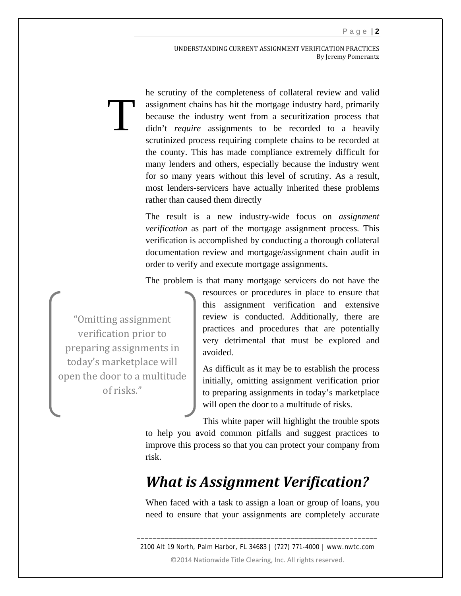UNDERSTANDING CURRENT ASSIGNMENT VERIFICATION PRACTICES By Jeremy Pomerantz

he scrutiny of the completeness of collateral review and valid assignment chains has hit the mortgage industry hard, primarily because the industry went from a securitization process that didn't *require* assignments to be recorded to a heavily scrutinized process requiring complete chains to be recorded at the county. This has made compliance extremely difficult for many lenders and others, especially because the industry went for so many years without this level of scrutiny. As a result, most lenders-servicers have actually inherited these problems rather than caused them directly Ti

> The result is a new industry-wide focus on *assignment verification* as part of the mortgage assignment process*.* This verification is accomplished by conducting a thorough collateral documentation review and mortgage/assignment chain audit in order to verify and execute mortgage assignments.

> The problem is that many mortgage servicers do not have the

"Omitting assignment verification prior to preparing assignments in today's marketplace will open the door to a multitude of risks."

resources or procedures in place to ensure that this assignment verification and extensive review is conducted. Additionally, there are practices and procedures that are potentially very detrimental that must be explored and avoided.

As difficult as it may be to establish the process initially, omitting assignment verification prior to preparing assignments in today's marketplace will open the door to a multitude of risks.

This white paper will highlight the trouble spots to help you avoid common pitfalls and suggest practices to improve this process so that you can protect your company from risk.

#### *What is Assignment Verification?*

When faced with a task to assign a loan or group of loans, you need to ensure that your assignments are completely accurate

2100 Alt 19 North, Palm Harbor, FL 34683 | (727) 771-4000 | www.nwtc.com ©2014 Nationwide Title Clearing, Inc. All rights reserved.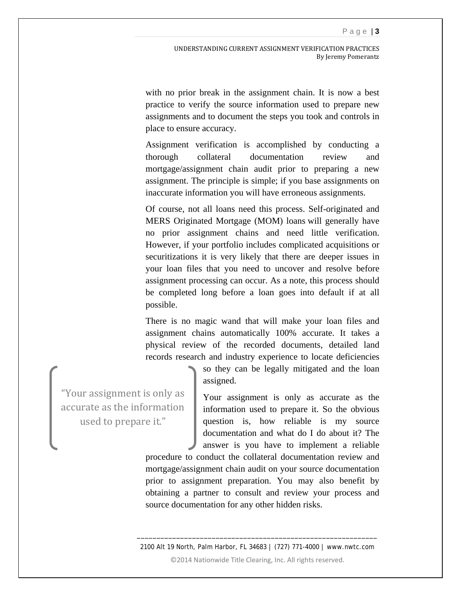with no prior break in the assignment chain. It is now a best practice to verify the source information used to prepare new assignments and to document the steps you took and controls in place to ensure accuracy.

Assignment verification is accomplished by conducting a thorough collateral documentation review and mortgage/assignment chain audit prior to preparing a new assignment. The principle is simple; if you base assignments on inaccurate information you will have erroneous assignments.

Of course, not all loans need this process. Self-originated and MERS Originated Mortgage (MOM) loans will generally have no prior assignment chains and need little verification. However, if your portfolio includes complicated acquisitions or securitizations it is very likely that there are deeper issues in your loan files that you need to uncover and resolve before assignment processing can occur. As a note, this process should be completed long before a loan goes into default if at all possible.

There is no magic wand that will make your loan files and assignment chains automatically 100% accurate. It takes a physical review of the recorded documents, detailed land records research and industry experience to locate deficiencies

> so they can be legally mitigated and the loan assigned.

"Your assignment is only as accurate as the information used to prepare it."

Your assignment is only as accurate as the information used to prepare it. So the obvious question is, how reliable is my source documentation and what do I do about it? The answer is you have to implement a reliable

procedure to conduct the collateral documentation review and mortgage/assignment chain audit on your source documentation prior to assignment preparation. You may also benefit by obtaining a partner to consult and review your process and source documentation for any other hidden risks.

2100 Alt 19 North, Palm Harbor, FL 34683 | (727) 771-4000 | www.nwtc.com ©2014 Nationwide Title Clearing, Inc. All rights reserved.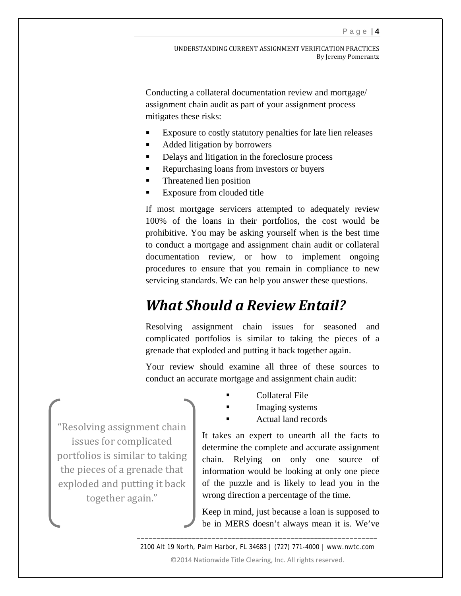Conducting a collateral documentation review and mortgage/ assignment chain audit as part of your assignment process mitigates these risks:

- Exposure to costly statutory penalties for late lien releases
- Added litigation by borrowers
- Delays and litigation in the foreclosure process
- Repurchasing loans from investors or buyers
- **Threatened lien position**
- Exposure from clouded title

If most mortgage servicers attempted to adequately review 100% of the loans in their portfolios, the cost would be prohibitive. You may be asking yourself when is the best time to conduct a mortgage and assignment chain audit or collateral documentation review, or how to implement ongoing procedures to ensure that you remain in compliance to new servicing standards. We can help you answer these questions.

#### *What Should a Review Entail?*

Resolving assignment chain issues for seasoned and complicated portfolios is similar to taking the pieces of a grenade that exploded and putting it back together again.

Your review should examine all three of these sources to conduct an accurate mortgage and assignment chain audit:

- Collateral File
- Imaging systems
- Actual land records

"Resolving assignment chain issues for complicated portfolios is similar to taking the pieces of a grenade that exploded and putting it back together again."

It takes an expert to unearth all the facts to determine the complete and accurate assignment chain. Relying on only one source of information would be looking at only one piece of the puzzle and is likely to lead you in the wrong direction a percentage of the time.

Keep in mind, just because a loan is supposed to be in MERS doesn't always mean it is. We've

2100 Alt 19 North, Palm Harbor, FL 34683 | (727) 771-4000 | www.nwtc.com ©2014 Nationwide Title Clearing, Inc. All rights reserved.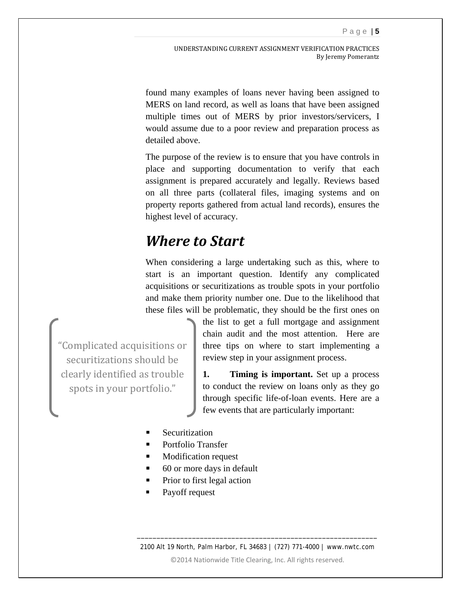UNDERSTANDING CURRENT ASSIGNMENT VERIFICATION PRACTICES By Jeremy Pomerantz

found many examples of loans never having been assigned to MERS on land record, as well as loans that have been assigned multiple times out of MERS by prior investors/servicers, I would assume due to a poor review and preparation process as detailed above.

The purpose of the review is to ensure that you have controls in place and supporting documentation to verify that each assignment is prepared accurately and legally. Reviews based on all three parts (collateral files, imaging systems and on property reports gathered from actual land records), ensures the highest level of accuracy.

#### *Where to Start*

When considering a large undertaking such as this, where to start is an important question. Identify any complicated acquisitions or securitizations as trouble spots in your portfolio and make them priority number one. Due to the likelihood that these files will be problematic, they should be the first ones on

"Complicated acquisitions or securitizations should be clearly identified as trouble spots in your portfolio."

the list to get a full mortgage and assignment chain audit and the most attention. Here are three tips on where to start implementing a review step in your assignment process.

**1. Timing is important.** Set up a process to conduct the review on loans only as they go through specific life-of-loan events. Here are a few events that are particularly important:

- **Securitization**
- Portfolio Transfer
- Modification request
- 60 or more days in default
- Prior to first legal action
- Payoff request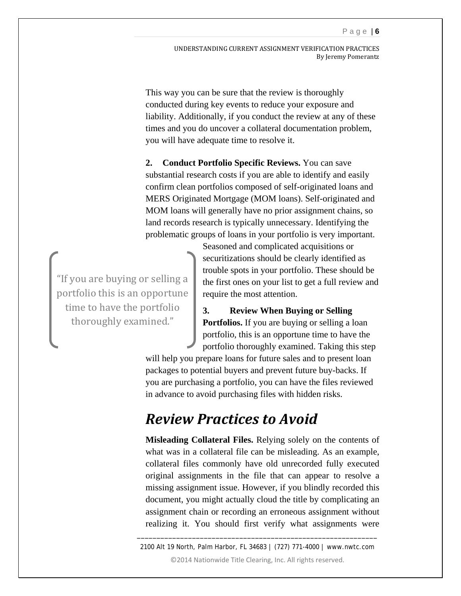UNDERSTANDING CURRENT ASSIGNMENT VERIFICATION PRACTICES By Jeremy Pomerantz

This way you can be sure that the review is thoroughly conducted during key events to reduce your exposure and liability. Additionally, if you conduct the review at any of these times and you do uncover a collateral documentation problem, you will have adequate time to resolve it.

**2. Conduct Portfolio Specific Reviews.** You can save substantial research costs if you are able to identify and easily confirm clean portfolios composed of self-originated loans and MERS Originated Mortgage (MOM loans). Self-originated and MOM loans will generally have no prior assignment chains, so land records research is typically unnecessary. Identifying the problematic groups of loans in your portfolio is very important.

"If you are buying or selling a portfolio this is an opportune time to have the portfolio thoroughly examined."

Seasoned and complicated acquisitions or securitizations should be clearly identified as trouble spots in your portfolio. These should be the first ones on your list to get a full review and require the most attention.

**3. Review When Buying or Selling Portfolios.** If you are buying or selling a loan portfolio, this is an opportune time to have the portfolio thoroughly examined. Taking this step

will help you prepare loans for future sales and to present loan packages to potential buyers and prevent future buy-backs. If you are purchasing a portfolio, you can have the files reviewed in advance to avoid purchasing files with hidden risks.

#### *Review Practices to Avoid*

**Misleading Collateral Files.** Relying solely on the contents of what was in a collateral file can be misleading. As an example, collateral files commonly have old unrecorded fully executed original assignments in the file that can appear to resolve a missing assignment issue. However, if you blindly recorded this document, you might actually cloud the title by complicating an assignment chain or recording an erroneous assignment without realizing it. You should first verify what assignments were

2100 Alt 19 North, Palm Harbor, FL 34683 | (727) 771-4000 | www.nwtc.com ©2014 Nationwide Title Clearing, Inc. All rights reserved.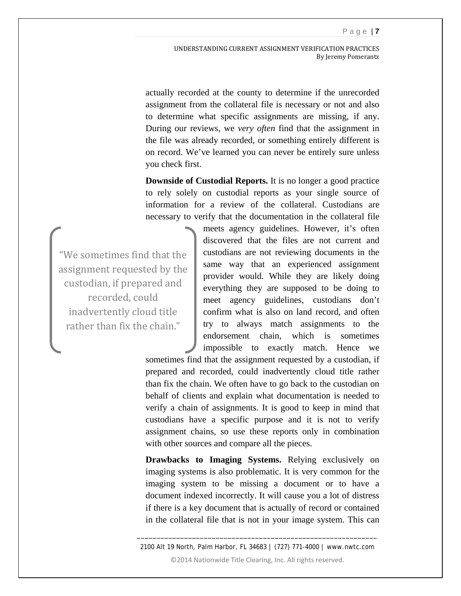UNDERSTANDING CURRENT ASSIGNMENT VERIFICATION PRACTICES By Jeremy Pomerantz

actually recorded at the county to determine if the unrecorded assignment from the collateral file is necessary or not and also to determine what specific assignments are missing, if any. During our reviews, we *very often* find that the assignment in the file was already recorded, or something entirely different is on record. We've learned you can never be entirely sure unless you check first.

**Downside of Custodial Reports.** It is no longer a good practice to rely solely on custodial reports as your single source of information for a review of the collateral. Custodians are necessary to verify that the documentation in the collateral file

"We sometimes find that the assignment requested by the custodian, if prepared and recorded, could inadvertently cloud title rather than fix the chain."

meets agency guidelines. However, it's often discovered that the files are not current and custodians are not reviewing documents in the same way that an experienced assignment provider would. While they are likely doing everything they are supposed to be doing to meet agency guidelines, custodians don't confirm what is also on land record, and often try to always match assignments to the endorsement chain, which is sometimes impossible to exactly match. Hence we

sometimes find that the assignment requested by a custodian, if prepared and recorded, could inadvertently cloud title rather than fix the chain. We often have to go back to the custodian on behalf of clients and explain what documentation is needed to verify a chain of assignments. It is good to keep in mind that custodians have a specific purpose and it is not to verify assignment chains, so use these reports only in combination with other sources and compare all the pieces.

**Drawbacks to Imaging Systems.** Relying exclusively on imaging systems is also problematic. It is very common for the imaging system to be missing a document or to have a document indexed incorrectly. It will cause you a lot of distress if there is a key document that is actually of record or contained in the collateral file that is not in your image system. This can

2100 Alt 19 North, Palm Harbor, FL 34683 | (727) 771-4000 | www.nwtc.com ©2014 Nationwide Title Clearing, Inc. All rights reserved.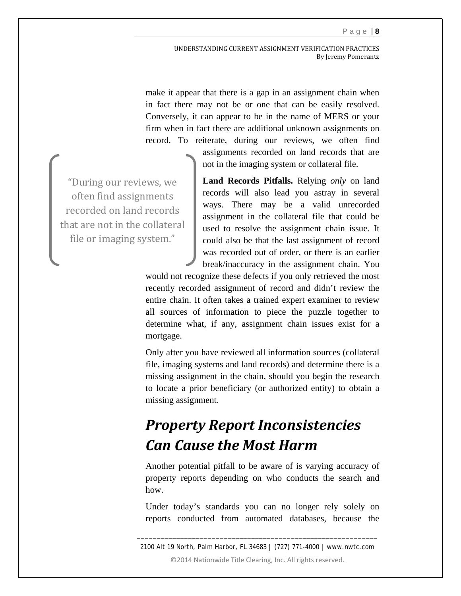UNDERSTANDING CURRENT ASSIGNMENT VERIFICATION PRACTICES By Jeremy Pomerantz

make it appear that there is a gap in an assignment chain when in fact there may not be or one that can be easily resolved. Conversely, it can appear to be in the name of MERS or your firm when in fact there are additional unknown assignments on record. To reiterate, during our reviews, we often find

> assignments recorded on land records that are not in the imaging system or collateral file.

**Land Records Pitfalls.** Relying *only* on land records will also lead you astray in several ways. There may be a valid unrecorded assignment in the collateral file that could be used to resolve the assignment chain issue. It could also be that the last assignment of record was recorded out of order, or there is an earlier break/inaccuracy in the assignment chain. You

would not recognize these defects if you only retrieved the most recently recorded assignment of record and didn't review the entire chain. It often takes a trained expert examiner to review all sources of information to piece the puzzle together to determine what, if any, assignment chain issues exist for a mortgage.

Only after you have reviewed all information sources (collateral file, imaging systems and land records) and determine there is a missing assignment in the chain, should you begin the research to locate a prior beneficiary (or authorized entity) to obtain a missing assignment.

### *Property Report Inconsistencies Can Cause the Most Harm*

Another potential pitfall to be aware of is varying accuracy of property reports depending on who conducts the search and how.

Under today's standards you can no longer rely solely on reports conducted from automated databases, because the

2100 Alt 19 North, Palm Harbor, FL 34683 | (727) 771-4000 | www.nwtc.com ©2014 Nationwide Title Clearing, Inc. All rights reserved.

\_\_\_\_\_\_\_\_\_\_\_\_\_\_\_\_\_\_\_\_\_\_\_\_\_\_\_\_\_\_\_\_\_\_\_\_\_\_\_\_\_\_\_\_\_\_\_\_\_\_\_\_\_\_\_\_\_\_\_\_\_

"During our reviews, we often find assignments recorded on land records that are not in the collateral file or imaging system."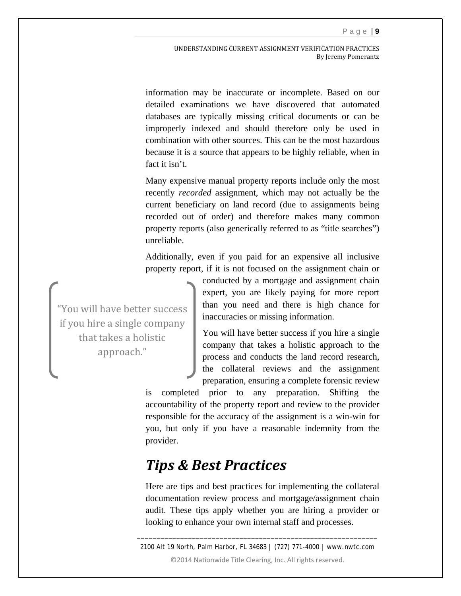UNDERSTANDING CURRENT ASSIGNMENT VERIFICATION PRACTICES By Jeremy Pomerantz

information may be inaccurate or incomplete. Based on our detailed examinations we have discovered that automated databases are typically missing critical documents or can be improperly indexed and should therefore only be used in combination with other sources. This can be the most hazardous because it is a source that appears to be highly reliable, when in fact it isn't.

Many expensive manual property reports include only the most recently *recorded* assignment, which may not actually be the current beneficiary on land record (due to assignments being recorded out of order) and therefore makes many common property reports (also generically referred to as "title searches") unreliable.

Additionally, even if you paid for an expensive all inclusive property report, if it is not focused on the assignment chain or

"You will have better success if you hire a single company that takes a holistic approach."

conducted by a mortgage and assignment chain expert, you are likely paying for more report than you need and there is high chance for inaccuracies or missing information.

You will have better success if you hire a single company that takes a holistic approach to the process and conducts the land record research, the collateral reviews and the assignment preparation, ensuring a complete forensic review

is completed prior to any preparation. Shifting the accountability of the property report and review to the provider responsible for the accuracy of the assignment is a win-win for you, but only if you have a reasonable indemnity from the provider.

#### *Tips & Best Practices*

Here are tips and best practices for implementing the collateral documentation review process and mortgage/assignment chain audit. These tips apply whether you are hiring a provider or looking to enhance your own internal staff and processes.

2100 Alt 19 North, Palm Harbor, FL 34683 | (727) 771-4000 | www.nwtc.com ©2014 Nationwide Title Clearing, Inc. All rights reserved.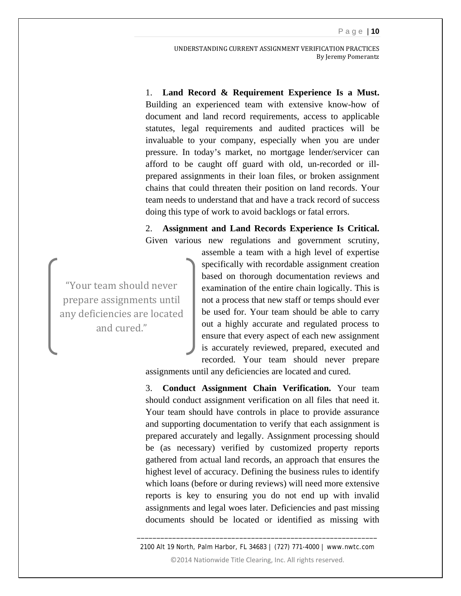UNDERSTANDING CURRENT ASSIGNMENT VERIFICATION PRACTICES By Jeremy Pomerantz

1. **Land Record & Requirement Experience Is a Must.**  Building an experienced team with extensive know-how of document and land record requirements, access to applicable statutes, legal requirements and audited practices will be invaluable to your company, especially when you are under pressure. In today's market, no mortgage lender/servicer can afford to be caught off guard with old, un-recorded or illprepared assignments in their loan files, or broken assignment chains that could threaten their position on land records. Your team needs to understand that and have a track record of success doing this type of work to avoid backlogs or fatal errors.

2. **Assignment and Land Records Experience Is Critical.** Given various new regulations and government scrutiny,

"Your team should never prepare assignments until any deficiencies are located and cured."

assemble a team with a high level of expertise specifically with recordable assignment creation based on thorough documentation reviews and examination of the entire chain logically. This is not a process that new staff or temps should ever be used for. Your team should be able to carry out a highly accurate and regulated process to ensure that every aspect of each new assignment is accurately reviewed, prepared, executed and recorded. Your team should never prepare

assignments until any deficiencies are located and cured.

3. **Conduct Assignment Chain Verification.** Your team should conduct assignment verification on all files that need it. Your team should have controls in place to provide assurance and supporting documentation to verify that each assignment is prepared accurately and legally. Assignment processing should be (as necessary) verified by customized property reports gathered from actual land records, an approach that ensures the highest level of accuracy. Defining the business rules to identify which loans (before or during reviews) will need more extensive reports is key to ensuring you do not end up with invalid assignments and legal woes later. Deficiencies and past missing documents should be located or identified as missing with

2100 Alt 19 North, Palm Harbor, FL 34683 | (727) 771-4000 | www.nwtc.com ©2014 Nationwide Title Clearing, Inc. All rights reserved.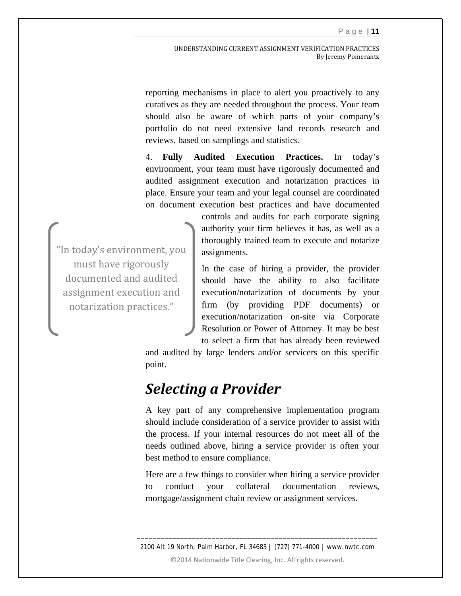reporting mechanisms in place to alert you proactively to any curatives as they are needed throughout the process. Your team should also be aware of which parts of your company's portfolio do not need extensive land records research and reviews, based on samplings and statistics.

4. **Fully Audited Execution Practices.** In today's environment, your team must have rigorously documented and audited assignment execution and notarization practices in place. Ensure your team and your legal counsel are coordinated on document execution best practices and have documented

"In today's environment, you must have rigorously documented and audited assignment execution and notarization practices."

controls and audits for each corporate signing authority your firm believes it has, as well as a thoroughly trained team to execute and notarize assignments.

In the case of hiring a provider, the provider should have the ability to also facilitate execution/notarization of documents by your firm (by providing PDF documents) or execution/notarization on-site via Corporate Resolution or Power of Attorney. It may be best to select a firm that has already been reviewed

and audited by large lenders and/or servicers on this specific point.

#### *Selecting a Provider*

A key part of any comprehensive implementation program should include consideration of a service provider to assist with the process. If your internal resources do not meet all of the needs outlined above, hiring a service provider is often your best method to ensure compliance.

Here are a few things to consider when hiring a service provider to conduct your collateral documentation reviews, mortgage/assignment chain review or assignment services.

2100 Alt 19 North, Palm Harbor, FL 34683 | (727) 771-4000 | www.nwtc.com ©2014 Nationwide Title Clearing, Inc. All rights reserved.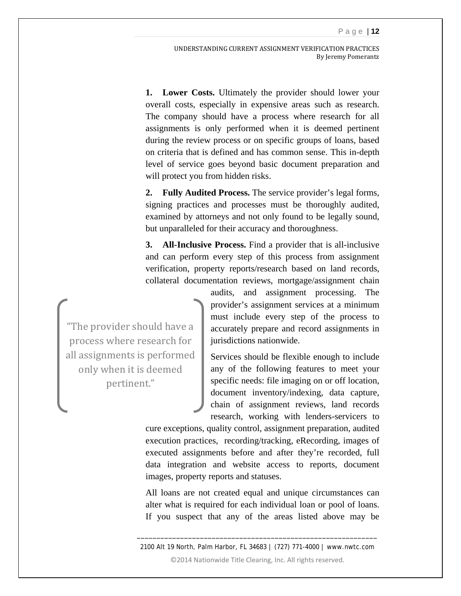**1. Lower Costs.** Ultimately the provider should lower your overall costs, especially in expensive areas such as research. The company should have a process where research for all assignments is only performed when it is deemed pertinent during the review process or on specific groups of loans, based on criteria that is defined and has common sense. This in-depth level of service goes beyond basic document preparation and will protect you from hidden risks.

**2. Fully Audited Process.** The service provider's legal forms, signing practices and processes must be thoroughly audited, examined by attorneys and not only found to be legally sound, but unparalleled for their accuracy and thoroughness.

**3. All-Inclusive Process.** Find a provider that is all-inclusive and can perform every step of this process from assignment verification, property reports/research based on land records, collateral documentation reviews, mortgage/assignment chain

"The provider should have a process where research for all assignments is performed only when it is deemed pertinent."

audits, and assignment processing. The provider's assignment services at a minimum must include every step of the process to accurately prepare and record assignments in jurisdictions nationwide.

Services should be flexible enough to include any of the following features to meet your specific needs: file imaging on or off location, document inventory/indexing, data capture, chain of assignment reviews, land records research, working with lenders-servicers to

cure exceptions, quality control, assignment preparation, audited execution practices, recording/tracking, eRecording, images of executed assignments before and after they're recorded, full data integration and website access to reports, document images, property reports and statuses.

All loans are not created equal and unique circumstances can alter what is required for each individual loan or pool of loans. If you suspect that any of the areas listed above may be

2100 Alt 19 North, Palm Harbor, FL 34683 | (727) 771-4000 | www.nwtc.com ©2014 Nationwide Title Clearing, Inc. All rights reserved.